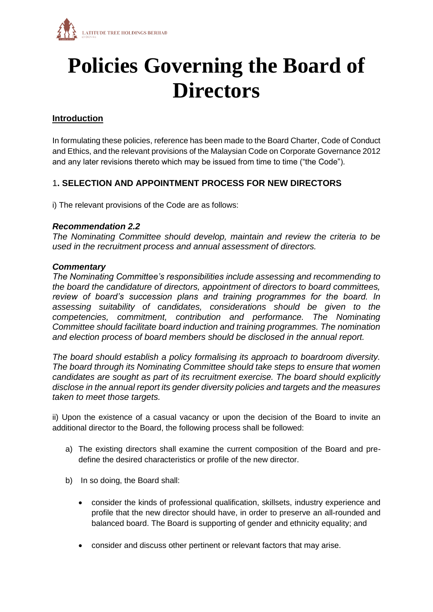

# **Policies Governing the Board of Directors**

## **Introduction**

In formulating these policies, reference has been made to the Board Charter, Code of Conduct and Ethics, and the relevant provisions of the Malaysian Code on Corporate Governance 2012 and any later revisions thereto which may be issued from time to time ("the Code").

## 1**. SELECTION AND APPOINTMENT PROCESS FOR NEW DIRECTORS**

i) The relevant provisions of the Code are as follows:

## *Recommendation 2.2*

*The Nominating Committee should develop, maintain and review the criteria to be used in the recruitment process and annual assessment of directors.* 

## *Commentary*

*The Nominating Committee's responsibilities include assessing and recommending to the board the candidature of directors, appointment of directors to board committees, review of board's succession plans and training programmes for the board. In assessing suitability of candidates, considerations should be given to the competencies, commitment, contribution and performance. The Nominating Committee should facilitate board induction and training programmes. The nomination and election process of board members should be disclosed in the annual report.* 

*The board should establish a policy formalising its approach to boardroom diversity. The board through its Nominating Committee should take steps to ensure that women candidates are sought as part of its recruitment exercise. The board should explicitly disclose in the annual report its gender diversity policies and targets and the measures taken to meet those targets.* 

ii) Upon the existence of a casual vacancy or upon the decision of the Board to invite an additional director to the Board, the following process shall be followed:

- a) The existing directors shall examine the current composition of the Board and predefine the desired characteristics or profile of the new director.
- b) In so doing, the Board shall:
	- consider the kinds of professional qualification, skillsets, industry experience and profile that the new director should have, in order to preserve an all-rounded and balanced board. The Board is supporting of gender and ethnicity equality; and
	- consider and discuss other pertinent or relevant factors that may arise.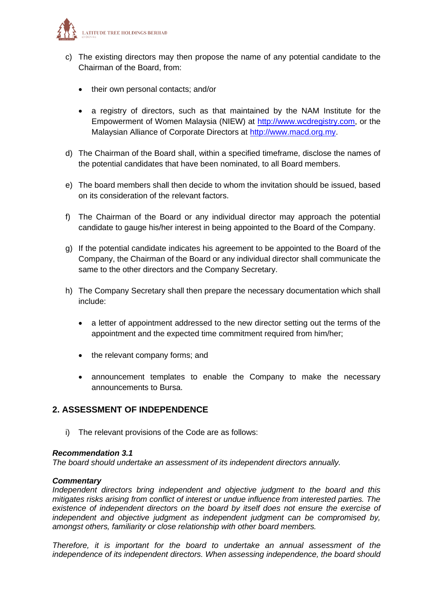

- c) The existing directors may then propose the name of any potential candidate to the Chairman of the Board, from:
	- their own personal contacts; and/or
	- a registry of directors, such as that maintained by the NAM Institute for the Empowerment of Women Malaysia (NIEW) at [http://www.wcdregistry.com,](http://www.wcdregistry.com/) or the Malaysian Alliance of Corporate Directors at [http://www.macd.org.my.](http://www.macd.org.my/)
- d) The Chairman of the Board shall, within a specified timeframe, disclose the names of the potential candidates that have been nominated, to all Board members.
- e) The board members shall then decide to whom the invitation should be issued, based on its consideration of the relevant factors.
- f) The Chairman of the Board or any individual director may approach the potential candidate to gauge his/her interest in being appointed to the Board of the Company.
- g) If the potential candidate indicates his agreement to be appointed to the Board of the Company, the Chairman of the Board or any individual director shall communicate the same to the other directors and the Company Secretary.
- h) The Company Secretary shall then prepare the necessary documentation which shall include:
	- a letter of appointment addressed to the new director setting out the terms of the appointment and the expected time commitment required from him/her;
	- the relevant company forms; and
	- announcement templates to enable the Company to make the necessary announcements to Bursa.

## **2. ASSESSMENT OF INDEPENDENCE**

i) The relevant provisions of the Code are as follows:

#### *Recommendation 3.1*

*The board should undertake an assessment of its independent directors annually.* 

## *Commentary*

*Independent directors bring independent and objective judgment to the board and this mitigates risks arising from conflict of interest or undue influence from interested parties. The existence of independent directors on the board by itself does not ensure the exercise of independent and objective judgment as independent judgment can be compromised by, amongst others, familiarity or close relationship with other board members.* 

*Therefore, it is important for the board to undertake an annual assessment of the independence of its independent directors. When assessing independence, the board should*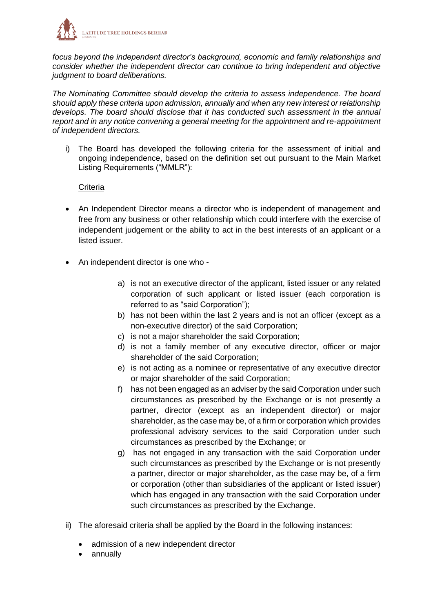

*focus beyond the independent director's background, economic and family relationships and consider whether the independent director can continue to bring independent and objective judgment to board deliberations.* 

*The Nominating Committee should develop the criteria to assess independence. The board should apply these criteria upon admission, annually and when any new interest or relationship develops. The board should disclose that it has conducted such assessment in the annual report and in any notice convening a general meeting for the appointment and re-appointment of independent directors.*

i) The Board has developed the following criteria for the assessment of initial and ongoing independence, based on the definition set out pursuant to the Main Market Listing Requirements ("MMLR"):

## **Criteria**

- An Independent Director means a director who is independent of management and free from any business or other relationship which could interfere with the exercise of independent judgement or the ability to act in the best interests of an applicant or a listed issuer.
- An independent director is one who
	- a) is not an executive director of the applicant, listed issuer or any related corporation of such applicant or listed issuer (each corporation is referred to as "said Corporation");
	- b) has not been within the last 2 years and is not an officer (except as a non-executive director) of the said Corporation;
	- c) is not a major shareholder the said Corporation;
	- d) is not a family member of any executive director, officer or major shareholder of the said Corporation;
	- e) is not acting as a nominee or representative of any executive director or major shareholder of the said Corporation;
	- f) has not been engaged as an adviser by the said Corporation under such circumstances as prescribed by the Exchange or is not presently a partner, director (except as an independent director) or major shareholder, as the case may be, of a firm or corporation which provides professional advisory services to the said Corporation under such circumstances as prescribed by the Exchange; or
	- g) has not engaged in any transaction with the said Corporation under such circumstances as prescribed by the Exchange or is not presently a partner, director or major shareholder, as the case may be, of a firm or corporation (other than subsidiaries of the applicant or listed issuer) which has engaged in any transaction with the said Corporation under such circumstances as prescribed by the Exchange.
- ii) The aforesaid criteria shall be applied by the Board in the following instances:
	- admission of a new independent director
	- annually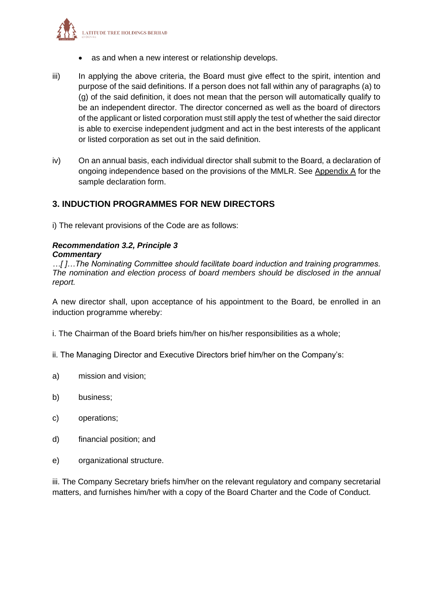

- as and when a new interest or relationship develops.
- iii) In applying the above criteria, the Board must give effect to the spirit, intention and purpose of the said definitions. If a person does not fall within any of paragraphs (a) to (g) of the said definition, it does not mean that the person will automatically qualify to be an independent director. The director concerned as well as the board of directors of the applicant or listed corporation must still apply the test of whether the said director is able to exercise independent judgment and act in the best interests of the applicant or listed corporation as set out in the said definition.
- iv) On an annual basis, each individual director shall submit to the Board, a declaration of ongoing independence based on the provisions of the MMLR. See Appendix A for the sample declaration form.

## **3. INDUCTION PROGRAMMES FOR NEW DIRECTORS**

i) The relevant provisions of the Code are as follows:

## *Recommendation 3.2, Principle 3 Commentary*

*…[ ]…The Nominating Committee should facilitate board induction and training programmes. The nomination and election process of board members should be disclosed in the annual report.* 

A new director shall, upon acceptance of his appointment to the Board, be enrolled in an induction programme whereby:

- i. The Chairman of the Board briefs him/her on his/her responsibilities as a whole;
- ii. The Managing Director and Executive Directors brief him/her on the Company's:
- a) mission and vision;
- b) business;
- c) operations;
- d) financial position; and
- e) organizational structure.

iii. The Company Secretary briefs him/her on the relevant regulatory and company secretarial matters, and furnishes him/her with a copy of the Board Charter and the Code of Conduct.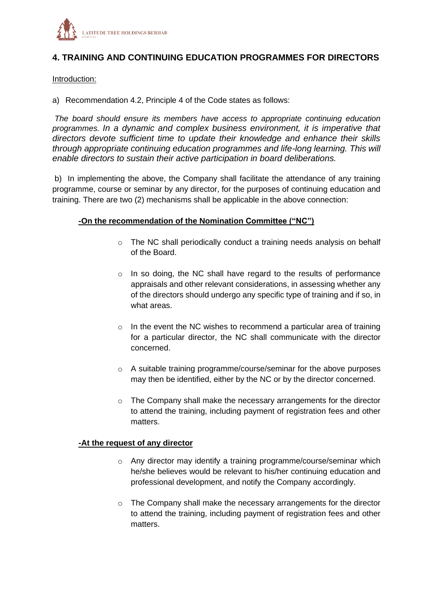

## **4. TRAINING AND CONTINUING EDUCATION PROGRAMMES FOR DIRECTORS**

#### Introduction:

a) Recommendation 4.2, Principle 4 of the Code states as follows:

*The board should ensure its members have access to appropriate continuing education programmes. In a dynamic and complex business environment, it is imperative that directors devote sufficient time to update their knowledge and enhance their skills through appropriate continuing education programmes and life-long learning. This will enable directors to sustain their active participation in board deliberations.* 

b) In implementing the above, the Company shall facilitate the attendance of any training programme, course or seminar by any director, for the purposes of continuing education and training. There are two (2) mechanisms shall be applicable in the above connection:

## **-On the recommendation of the Nomination Committee ("NC")**

- o The NC shall periodically conduct a training needs analysis on behalf of the Board.
- o In so doing, the NC shall have regard to the results of performance appraisals and other relevant considerations, in assessing whether any of the directors should undergo any specific type of training and if so, in what areas.
- $\circ$  In the event the NC wishes to recommend a particular area of training for a particular director, the NC shall communicate with the director concerned.
- o A suitable training programme/course/seminar for the above purposes may then be identified, either by the NC or by the director concerned.
- o The Company shall make the necessary arrangements for the director to attend the training, including payment of registration fees and other matters.

#### **-At the request of any director**

- o Any director may identify a training programme/course/seminar which he/she believes would be relevant to his/her continuing education and professional development, and notify the Company accordingly.
- o The Company shall make the necessary arrangements for the director to attend the training, including payment of registration fees and other matters.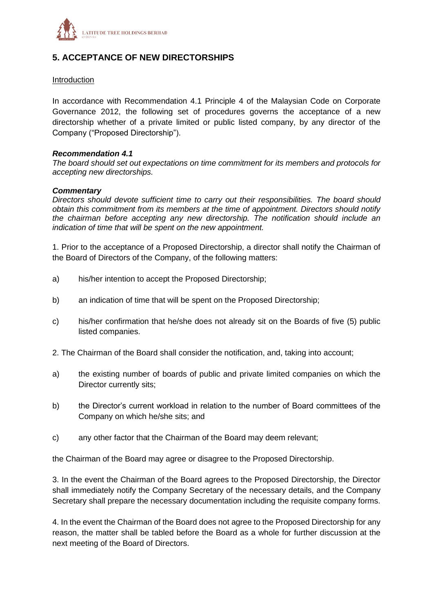

## **5. ACCEPTANCE OF NEW DIRECTORSHIPS**

## Introduction

In accordance with Recommendation 4.1 Principle 4 of the Malaysian Code on Corporate Governance 2012, the following set of procedures governs the acceptance of a new directorship whether of a private limited or public listed company, by any director of the Company ("Proposed Directorship").

#### *Recommendation 4.1*

*The board should set out expectations on time commitment for its members and protocols for accepting new directorships.* 

#### *Commentary*

*Directors should devote sufficient time to carry out their responsibilities. The board should obtain this commitment from its members at the time of appointment. Directors should notify the chairman before accepting any new directorship. The notification should include an indication of time that will be spent on the new appointment.* 

1. Prior to the acceptance of a Proposed Directorship, a director shall notify the Chairman of the Board of Directors of the Company, of the following matters:

- a) his/her intention to accept the Proposed Directorship;
- b) an indication of time that will be spent on the Proposed Directorship;
- c) his/her confirmation that he/she does not already sit on the Boards of five (5) public listed companies.
- 2. The Chairman of the Board shall consider the notification, and, taking into account;
- a) the existing number of boards of public and private limited companies on which the Director currently sits;
- b) the Director's current workload in relation to the number of Board committees of the Company on which he/she sits; and
- c) any other factor that the Chairman of the Board may deem relevant;

the Chairman of the Board may agree or disagree to the Proposed Directorship.

3. In the event the Chairman of the Board agrees to the Proposed Directorship, the Director shall immediately notify the Company Secretary of the necessary details, and the Company Secretary shall prepare the necessary documentation including the requisite company forms.

4. In the event the Chairman of the Board does not agree to the Proposed Directorship for any reason, the matter shall be tabled before the Board as a whole for further discussion at the next meeting of the Board of Directors.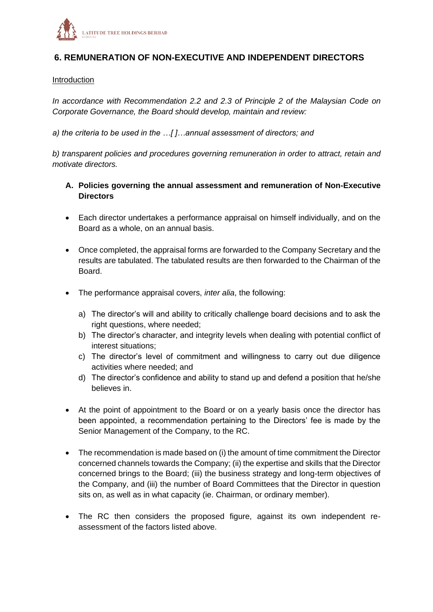

## **6. REMUNERATION OF NON-EXECUTIVE AND INDEPENDENT DIRECTORS**

#### Introduction

*In accordance with Recommendation 2.2 and 2.3 of Principle 2 of the Malaysian Code on Corporate Governance, the Board should develop, maintain and review:*

*a) the criteria to be used in the …[ ]…annual assessment of directors; and* 

*b) transparent policies and procedures governing remuneration in order to attract, retain and motivate directors.* 

- **A. Policies governing the annual assessment and remuneration of Non-Executive Directors**
- Each director undertakes a performance appraisal on himself individually, and on the Board as a whole, on an annual basis.
- Once completed, the appraisal forms are forwarded to the Company Secretary and the results are tabulated. The tabulated results are then forwarded to the Chairman of the Board.
- The performance appraisal covers, *inter alia*, the following:
	- a) The director's will and ability to critically challenge board decisions and to ask the right questions, where needed;
	- b) The director's character, and integrity levels when dealing with potential conflict of interest situations;
	- c) The director's level of commitment and willingness to carry out due diligence activities where needed; and
	- d) The director's confidence and ability to stand up and defend a position that he/she believes in.
- At the point of appointment to the Board or on a yearly basis once the director has been appointed, a recommendation pertaining to the Directors' fee is made by the Senior Management of the Company, to the RC.
- The recommendation is made based on (i) the amount of time commitment the Director concerned channels towards the Company; (ii) the expertise and skills that the Director concerned brings to the Board; (iii) the business strategy and long-term objectives of the Company, and (iii) the number of Board Committees that the Director in question sits on, as well as in what capacity (ie. Chairman, or ordinary member).
- The RC then considers the proposed figure, against its own independent reassessment of the factors listed above.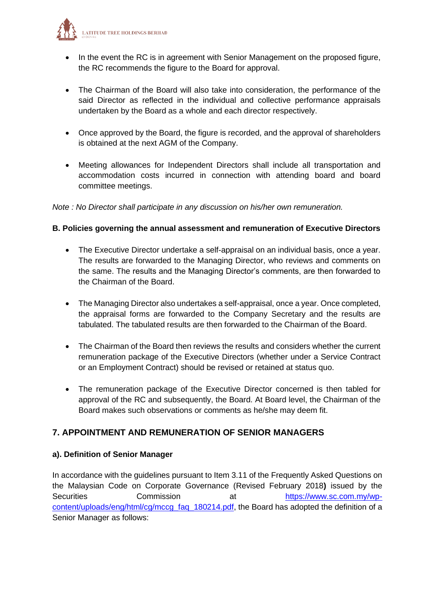

- In the event the RC is in agreement with Senior Management on the proposed figure, the RC recommends the figure to the Board for approval.
- The Chairman of the Board will also take into consideration, the performance of the said Director as reflected in the individual and collective performance appraisals undertaken by the Board as a whole and each director respectively.
- Once approved by the Board, the figure is recorded, and the approval of shareholders is obtained at the next AGM of the Company.
- Meeting allowances for Independent Directors shall include all transportation and accommodation costs incurred in connection with attending board and board committee meetings.

## *Note : No Director shall participate in any discussion on his/her own remuneration.*

## **B. Policies governing the annual assessment and remuneration of Executive Directors**

- The Executive Director undertake a self-appraisal on an individual basis, once a year. The results are forwarded to the Managing Director, who reviews and comments on the same. The results and the Managing Director's comments, are then forwarded to the Chairman of the Board.
- The Managing Director also undertakes a self-appraisal, once a year. Once completed, the appraisal forms are forwarded to the Company Secretary and the results are tabulated. The tabulated results are then forwarded to the Chairman of the Board.
- The Chairman of the Board then reviews the results and considers whether the current remuneration package of the Executive Directors (whether under a Service Contract or an Employment Contract) should be revised or retained at status quo.
- The remuneration package of the Executive Director concerned is then tabled for approval of the RC and subsequently, the Board. At Board level, the Chairman of the Board makes such observations or comments as he/she may deem fit.

## **7. APPOINTMENT AND REMUNERATION OF SENIOR MANAGERS**

## **a). Definition of Senior Manager**

In accordance with the guidelines pursuant to Item 3.11 of the Frequently Asked Questions on the Malaysian Code on Corporate Governance (Revised February 2018**)** issued by the Securities Commission at [https://www.sc.com.my/wp](https://www.sc.com.my/wp-content/uploads/eng/html/cg/mccg_faq_180214.pdf)[content/uploads/eng/html/cg/mccg\\_faq\\_180214.pdf,](https://www.sc.com.my/wp-content/uploads/eng/html/cg/mccg_faq_180214.pdf) the Board has adopted the definition of a Senior Manager as follows: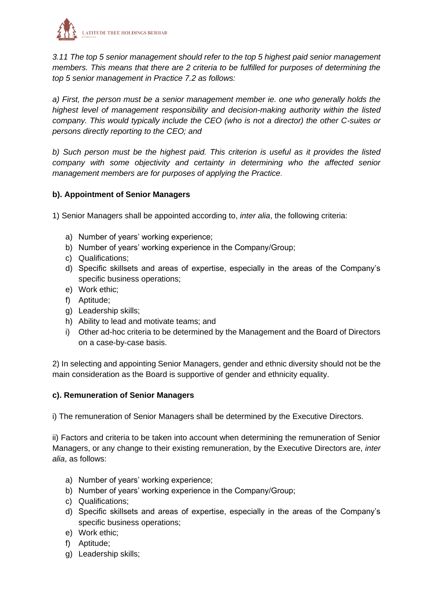

*3.11 The top 5 senior management should refer to the top 5 highest paid senior management members. This means that there are 2 criteria to be fulfilled for purposes of determining the top 5 senior management in Practice 7.2 as follows:*

*a) First, the person must be a senior management member ie. one who generally holds the highest level of management responsibility and decision-making authority within the listed company. This would typically include the CEO (who is not a director) the other C-suites or persons directly reporting to the CEO; and*

*b) Such person must be the highest paid. This criterion is useful as it provides the listed company with some objectivity and certainty in determining who the affected senior management members are for purposes of applying the Practice.* 

## **b). Appointment of Senior Managers**

1) Senior Managers shall be appointed according to, *inter alia*, the following criteria:

- a) Number of years' working experience;
- b) Number of years' working experience in the Company/Group;
- c) Qualifications;
- d) Specific skillsets and areas of expertise, especially in the areas of the Company's specific business operations;
- e) Work ethic;
- f) Aptitude;
- g) Leadership skills;
- h) Ability to lead and motivate teams; and
- i) Other ad-hoc criteria to be determined by the Management and the Board of Directors on a case-by-case basis.

2) In selecting and appointing Senior Managers, gender and ethnic diversity should not be the main consideration as the Board is supportive of gender and ethnicity equality.

## **c). Remuneration of Senior Managers**

i) The remuneration of Senior Managers shall be determined by the Executive Directors.

ii) Factors and criteria to be taken into account when determining the remuneration of Senior Managers, or any change to their existing remuneration, by the Executive Directors are, *inter alia*, as follows:

- a) Number of years' working experience;
- b) Number of years' working experience in the Company/Group;
- c) Qualifications;
- d) Specific skillsets and areas of expertise, especially in the areas of the Company's specific business operations;
- e) Work ethic;
- f) Aptitude;
- g) Leadership skills;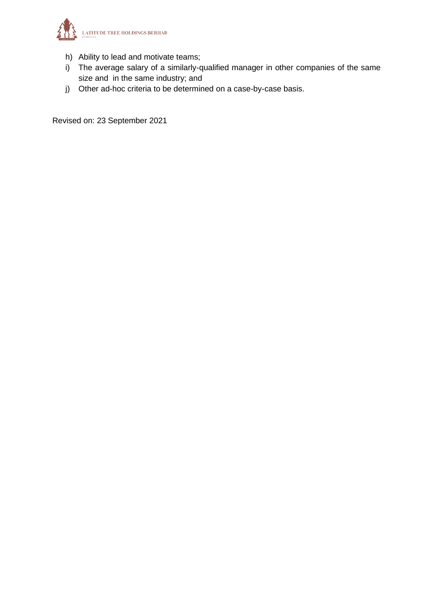

- h) Ability to lead and motivate teams;
- i) The average salary of a similarly-qualified manager in other companies of the same size and in the same industry; and
- j) Other ad-hoc criteria to be determined on a case-by-case basis.

Revised on: 23 September 2021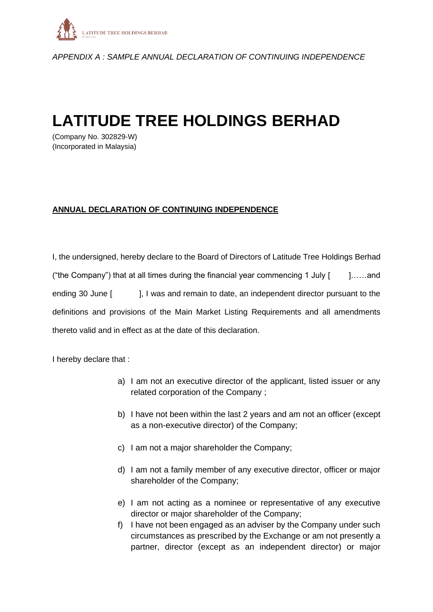

*APPENDIX A : SAMPLE ANNUAL DECLARATION OF CONTINUING INDEPENDENCE*

## **LATITUDE TREE HOLDINGS BERHAD**

(Company No. 302829-W) (Incorporated in Malaysia)

## **ANNUAL DECLARATION OF CONTINUING INDEPENDENCE**

I, the undersigned, hereby declare to the Board of Directors of Latitude Tree Holdings Berhad ("the Company") that at all times during the financial year commencing 1 July  $[$   $]$ ……and ending 30 June [ ], I was and remain to date, an independent director pursuant to the definitions and provisions of the Main Market Listing Requirements and all amendments thereto valid and in effect as at the date of this declaration.

I hereby declare that :

- a) I am not an executive director of the applicant, listed issuer or any related corporation of the Company ;
- b) I have not been within the last 2 years and am not an officer (except as a non-executive director) of the Company;
- c) I am not a major shareholder the Company;
- d) I am not a family member of any executive director, officer or major shareholder of the Company;
- e) I am not acting as a nominee or representative of any executive director or major shareholder of the Company;
- f) I have not been engaged as an adviser by the Company under such circumstances as prescribed by the Exchange or am not presently a partner, director (except as an independent director) or major